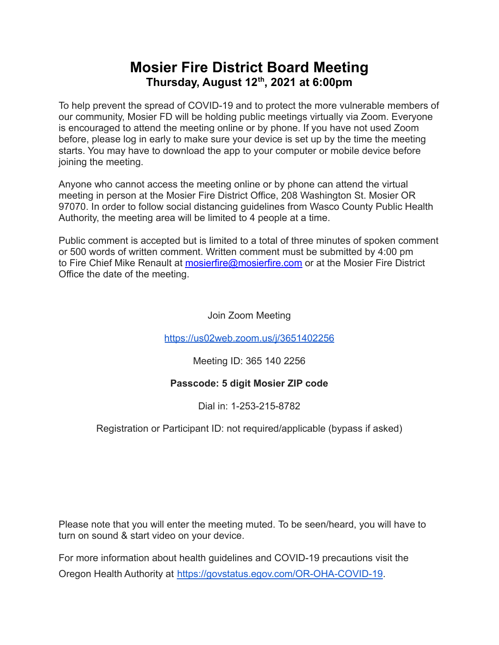# **Mosier Fire District Board Meeting Thursday, August 12 th , 2021 at 6:00pm**

To help prevent the spread of COVID-19 and to protect the more vulnerable members of our community, Mosier FD will be holding public meetings virtually via Zoom. Everyone is encouraged to attend the meeting online or by phone. If you have not used Zoom before, please log in early to make sure your device is set up by the time the meeting starts. You may have to download the app to your computer or mobile device before joining the meeting.

Anyone who cannot access the meeting online or by phone can attend the virtual meeting in person at the Mosier Fire District Office, 208 Washington St. Mosier OR 97070. In order to follow social distancing guidelines from Wasco County Public Health Authority, the meeting area will be limited to 4 people at a time.

Public comment is accepted but is limited to a total of three minutes of spoken comment or 500 words of written comment. Written comment must be submitted by 4:00 pm to Fire Chief Mike Renault at [mosierfire@mosierfire.com](mailto:mosierfire@mosierfire.com) or at the Mosier Fire District Office the date of the meeting.

Join Zoom Meeting

<https://us02web.zoom.us/j/3651402256>

Meeting ID: 365 140 2256

### **Passcode: 5 digit Mosier ZIP code**

Dial in: 1-253-215-8782

### Registration or Participant ID: not required/applicable (bypass if asked)

Please note that you will enter the meeting muted. To be seen/heard, you will have to turn on sound & start video on your device.

For more information about health guidelines and COVID-19 precautions visit the Oregon Health Authority at [https://govstatus.egov.com/OR-OHA-COVID-19.](https://govstatus.egov.com/OR-OHA-COVID-19)